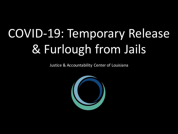## COVID-19: Temporary Release & Furlough from Jails

Justice & Accountability Center of Louisiana

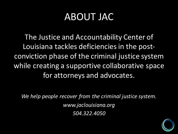#### **ABOUT JAC**

The Justice and Accountability Center of Louisiana tackles deficiencies in the postconviction phase of the criminal justice system while creating a supportive collaborative space for attorneys and advocates.

We help people recover from the criminal justice system. *www.jaclouisiana.org 504.322.4050*

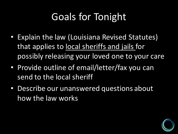## Goals for Tonight

- Explain the law (Louisiana Revised Statutes) that applies to local sheriffs and jails for possibly releasing your loved one to your care
- Provide outline of email/letter/fax you can send to the local sheriff
- Describe our unanswered questions about how the law works

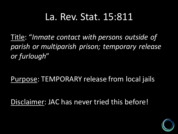#### La. Rev. Stat. 15:811

Title: "Inmate contact with persons outside of *parish or multiparish prison; temporary release or furlough*"

Purpose: TEMPORARY release from local jails

Disclaimer: JAC has never tried this before!

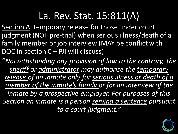#### La. Rev. Stat. 15:811(A)

Section A: temporary release for those under court judgment (NOT pre-trial) when serious illness/death of a family member or job interview (MAY be conflict with DOC in section  $C -$  PJI will discuss)

"*Notwithstanding any provision of law to the contrary, the sheriff* or administrator may authorize the temporary release of an inmate only for serious illness or death of a *member of the inmate's family or for an interview of the inmate by a prospective employer. For purposes of this* Section an inmate is a person serving a sentence pursuant *to a court judgment."*

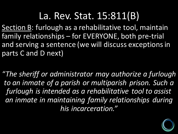#### La. Rev. Stat. 15:811(B)

Section B: furlough as a rehabilitative tool, maintain family relationships - for EVERYONE, both pre-trial and serving a sentence (we will discuss exceptions in parts C and D next)

"The sheriff or administrator may authorize a furlough *to an inmate of a parish or multiparish prison. Such a*  furlough is intended as a rehabilitative tool to assist an inmate in maintaining family relationships during *his incarceration."*

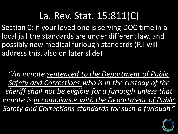#### La. Rev. Stat. 15:811(C)

Section C: if your loved one is serving DOC time in a local jail the standards are under different law, and possibly new medical furlough standards (PJI will address this, also on later slide)

"An inmate sentenced to the Department of Public Safety and Corrections who is in the custody of the sheriff shall not be eligible for a furlough unless that *inmate is in compliance with the Department of Public Safety and Corrections standards for such a furlough."*

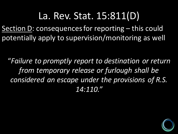La. Rev. Stat. 15:811(D) Section D: consequences for reporting – this could potentially apply to supervision/monitoring as well

"*Failure to promptly report to destination or return from temporary release or furlough shall be considered an escape under the provisions of R.S. 14:110."*

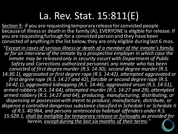#### La. Rev. Stat. 15:811(E)

Section E: if you are requesting temporary release for convicted people because of illness or death in the family (A), EVERYONE is eligible for release. If you are requesting furlough for a convicted person and they have been convicted of anything in the list below, they are only eligible during last 6 mos.

"Except in cases of serious illness or death of a member of the inmate's family, *or for an interview of the inmate by a prospective employer in which case the inmate may be released only in security escort with Department of Public Safety* and Corrections authorized personnel, any inmate who has been *convicted of first degree murder (R.S. 14:30), second degree murder (R.S.* 14:30.1), aggravated or first degree rape (R.S. 14:42), attempted aggravated or *first degree rape (R.S. 14:27 and 42), forcible or second degree rape (R.S. 14:42.1),* aggravated kidnapping (R.S. 14:44), aggravated arson (R.S. 14:51), armed robbery (R.S. 14:64), attempted murder (R.S. 14:27 and 29), attempted *armed robbery (R.S. 14:27 and 64), producing, manufacturing, distributing, or* dispensing or possession with intent to produce, manufacture, distribute, or dispense a controlled dangerous substance classified in Schedule I or Schedule II of R.S. 40:964, and persons sentenced as habitual offenders under R.S. 15:529.1, shall be ineligible for temporary release or furloughs as provided for *herein, except during the last six months of their terms."*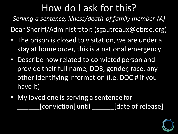**Serving a sentence, illness/death of family member (A)** 

Dear Sheriff/Administrator: (sgautreaux@ebrso.org)

- The prison is closed to visitation, we are under a stay at home order, this is a national emergency
- Describe how related to convicted person and provide their full name, DOB, gender, race, any other identifying information (i.e. DOC # if you have it)
- My loved one is serving a sentence for [conviction] until [date of release]

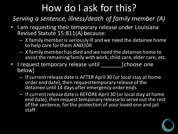*Serving a sentence, illness/death of family member (A)* 

- I am requesting their temporary release under Louisiana Revised Statute 15:811(A) because:
	- $-$  X family member is seriously ill and we need the detainee home to help care for them AND/OR
	- $-$  X family member has died and we need the detainee home to assist the remaining family with work, child care, elder care, etc.
- I request temporary release until \_\_\_\_\_\_\_\_\_[choose one below]
	- $-$  If current release date is AFTER April 30 (or local stay at home order end date), then request temporary release of the detainee until 14 days after emergency order ends
	- $-$  If current release date is BEFORE April 30 (or local stay at home end date), then request temporary release to serve out the rest of the sentence, for the protection of your loved one and jail staff

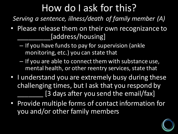*Serving a sentence, illness/death of family member (A)* 

- Please release them on their own recognizance to [address/housing]
	- $-$  If you have funds to pay for supervision (ankle monitoring, etc.) you can state that
	- $-$  If you are able to connect them with substance use, mental health, or other reentry services, state that
- I understand you are extremely busy during these challenging times, but I ask that you respond by [3 days after you send the email/fax]
- Provide multiple forms of contact information for you and/or other family members

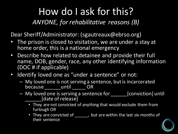**ANYONE, for rehabilitative reasons (B)** 

Dear Sheriff/Administrator: (sgautreaux@ebrso.org)

- The prison is closed to visitation, we are under a stay at home order, this is a national emergency
- Describe how related to detainee and provide their full name, DOB, gender, race, any other identifying information (DOC # if applicable)
- Identify loved one as "under a sentence" or not:
	- $-$  My loved one is not serving a sentence, but is incarcerated because until OR
	- My loved one is serving a sentence for [conviction] until [date of release]
		- They are not convicted of anything that would exclude them from furlough OR
		- They are convicted of \_\_\_\_\_\_, but are within the last six months of their sentence

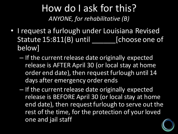#### How do I ask for this? ANYONE, for rehabilitative (B)

- I request a furlough under Louisiana Revised Statute 15:811(B) until \_\_\_\_\_\_\_\_\_\_ [choose one of below]
	- $-$  If the current release date originally expected release is AFTER April 30 (or local stay at home order end date), then request furlough until 14 days after emergency order ends
	- $-$  If the current release date originally expected release is BEFORE April 30 (or local stay at home end date), then request furlough to serve out the rest of the time, for the protection of your loved one and jail staff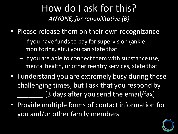#### How do I ask for this? ANYONE, for rehabilitative (B)

- Please release them on their own recognizance
	- If you have funds to pay for supervision (ankle monitoring, etc.) you can state that
	- $-$  If you are able to connect them with substance use, mental health, or other reentry services, state that
- I understand you are extremely busy during these challenging times, but I ask that you respond by [3 days after you send the email/fax]
- Provide multiple forms of contact information for you and/or other family members

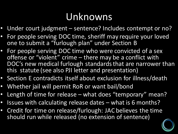#### Unknowns

- Under court judgment sentence? Includes contempt or no?
- For people serving DOC time, sheriff may require your loved one to submit a "furlough plan" under Section B
- For people serving DOC time who were convicted of a sex offense or "violent" crime – there may be a conflict with DOC's new medical furlough standards that are narrower than this statute (see also PJI letter and presentation)
- Section E contradicts itself about exclusion for illness/death
- Whether jail will permit RoR or want bail/bond
- Length of time for release what does "temporary" mean?
- Issues with calculating release dates what is 6 months?
- Credit for time on release/furlough: JAC believes the time should run while released (no extension of sentence)

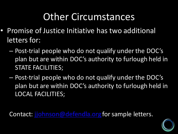#### **Other Circumstances**

- Promise of Justice Initiative has two additional letters for:
	- $-$  Post-trial people who do not qualify under the DOC's plan but are within DOC's authority to furlough held in **STATE FACILITIES;**
	- $-$  Post-trial people who do not qualify under the DOC's plan but are within DOC's authority to furlough held in LOCAL FACILITIES;

Contact: jjohnson@defendla.org for sample letters.